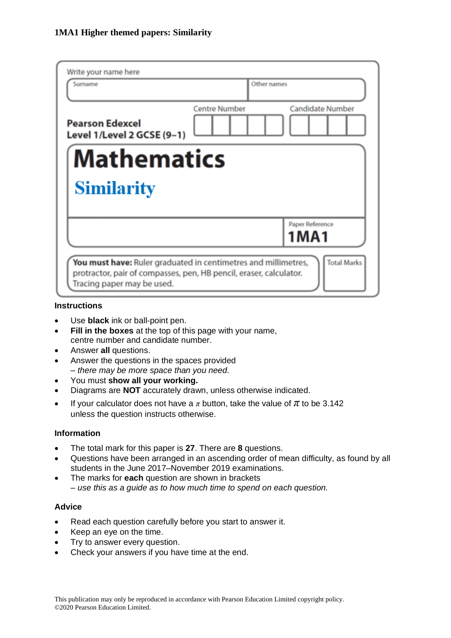| Write your name here                                                                                                                                                                     |                      |                         |
|------------------------------------------------------------------------------------------------------------------------------------------------------------------------------------------|----------------------|-------------------------|
| Surname                                                                                                                                                                                  | Other names          |                         |
| <b>Pearson Edexcel</b><br>Level 1/Level 2 GCSE (9-1)                                                                                                                                     | <b>Centre Number</b> | <b>Candidate Number</b> |
| <b>Mathematics</b>                                                                                                                                                                       |                      |                         |
| <b>Similarity</b>                                                                                                                                                                        |                      |                         |
|                                                                                                                                                                                          |                      | Paper Reference<br>1MA1 |
| <b>Total Marks</b><br>You must have: Ruler graduated in centimetres and millimetres,<br>protractor, pair of compasses, pen, HB pencil, eraser, calculator.<br>Tracing paper may be used. |                      |                         |

#### **Instructions**

- Use **black** ink or ball-point pen.
- **Fill in the boxes** at the top of this page with your name, centre number and candidate number.
- Answer **all** questions.
- Answer the questions in the spaces provided *– there may be more space than you need.*
- You must **show all your working.**
- Diagrams are **NOT** accurately drawn, unless otherwise indicated.
- If your calculator does not have a  $\pi$  button, take the value of  $\pi$  to be 3.142 unless the question instructs otherwise.

#### **Information**

- The total mark for this paper is **27**. There are **8** questions.
- Questions have been arranged in an ascending order of mean difficulty, as found by all students in the June 2017–November 2019 examinations.
- The marks for **each** question are shown in brackets *– use this as a guide as to how much time to spend on each question.*

#### **Advice**

- Read each question carefully before you start to answer it.
- Keep an eye on the time.
- Try to answer every question.
- Check your answers if you have time at the end.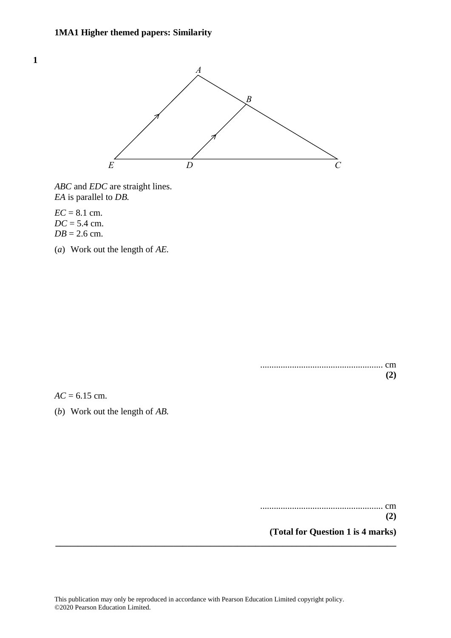

*ABC* and *EDC* are straight lines. *ABC* and *EDC* are straight lines. *EA* is parallel to *DB. EA* is parallel to *DB.*

*EC* = 8.1 cm. *EC* <sup>=</sup> 8.1 cm. *DC* = 5.4 cm. *DC* <sup>=</sup> 5.4 cm.  $DB = 2.6$  cm.

**1 5**

(*a*) Work out the length of *AE.* (a) Work out the length of *AE.*

...................................................... cm ...................................................... cm **(2) (2)**

*AC* = 6.15 cm. *AC* <sup>=</sup> 6.15 cm.

(*b*) Work out the length of *AB.* (b) Work out the length of *AB.*

...................................................... cm ...................................................... cm

**(2) (2)**

**(Total for Question 1 is 4 marks) (Total for Question 5 is 4 marks)**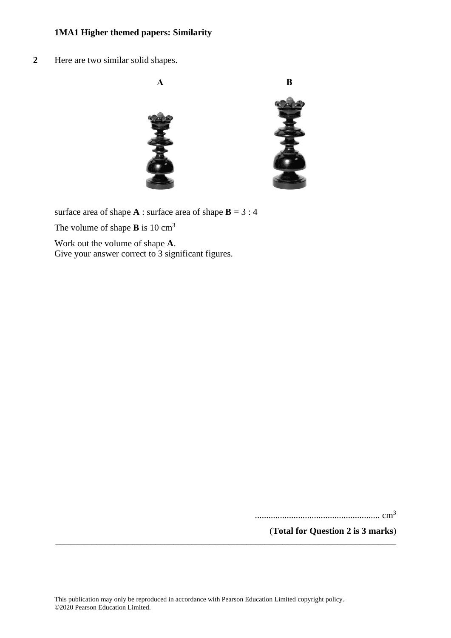**2** Here are two similar solid shapes. **13** Here are two similar solid shapes.



surface area of shape  $A$ : surface area of shape  $B = 3:4$ 

The volume of shape **B** is 10 cm<sup>3</sup>

Work out the volume of shape **A**. Work out the volume of shape **A**.<br>Give your answer correct to 3 significant figures. Give your answer correct to 3 significant figure

....................................................... cm<sup>3</sup> ....................................................... cm<sup>3</sup>

(**Total for Question 2 is 3 marks**) **(Total for Question 13 is 3 marks)**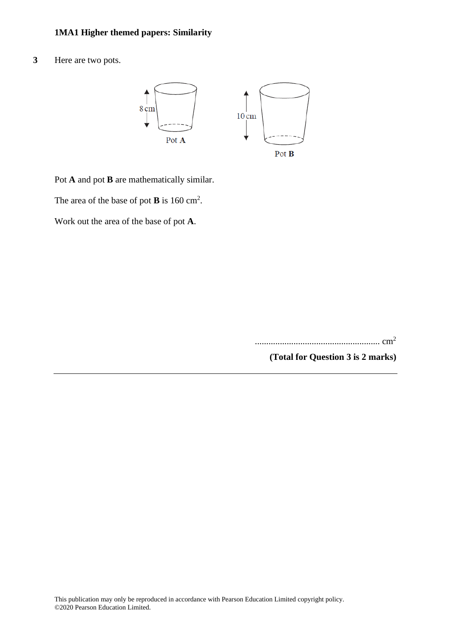**3** Here are two pots.



Pot **A** and pot **B** are mathematically similar.

The area of the base of pot **B** is 160 cm<sup>2</sup>.

Work out the area of the base of pot **A**.

....................................................... cm<sup>2</sup>

**(Total for Question 3 is 2 marks)**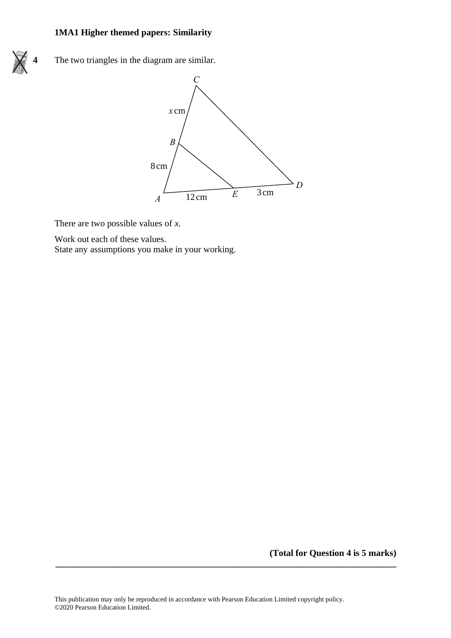

**4** The two triangles in the diagram are similar. **22** The two triangles in the diagram are similar.



There are two possible values of *x*. There are two possible values of *x*.

Work out each of these values. Work out each of these values.

State any assumptions you make in your working. State any assumptions you make in your working.

**(Total for Question 4 is 5 marks)**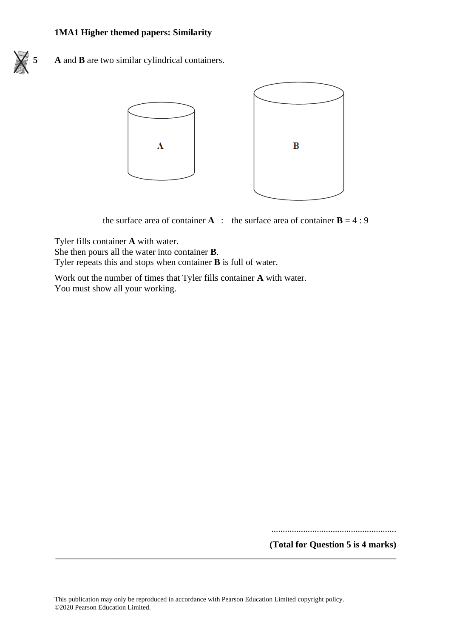



the surface area of container **A** : the surface area of container  $\mathbf{B} = 4:9$ 

Tyler fills container **A** with water.

She then pours all the water into container **B**.

Tyler repeats this and stops when container **B** is full of water.

Work out the number of times that Tyler fills container **A** with water. You must show all your working.

.......................................................

**(Total for Question 5 is 4 marks)**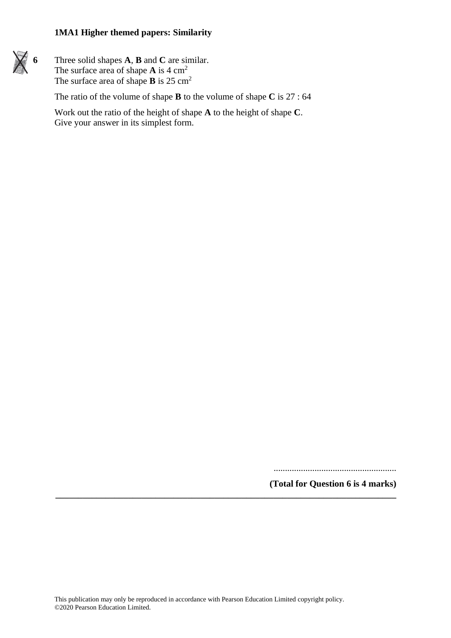

**6** Three solid shapes **A**, **B** and **C** are similar. The surface area of shape **A** is 4 cm<sup>2</sup> The surface area of shape **B** is 25 cm<sup>2</sup>

The ratio of the volume of shape **B** to the volume of shape **C** is 27 : 64

Work out the ratio of the height of shape **A** to the height of shape **C**. Give your answer in its simplest form.

......................................................

**(Total for Question 6 is 4 marks)**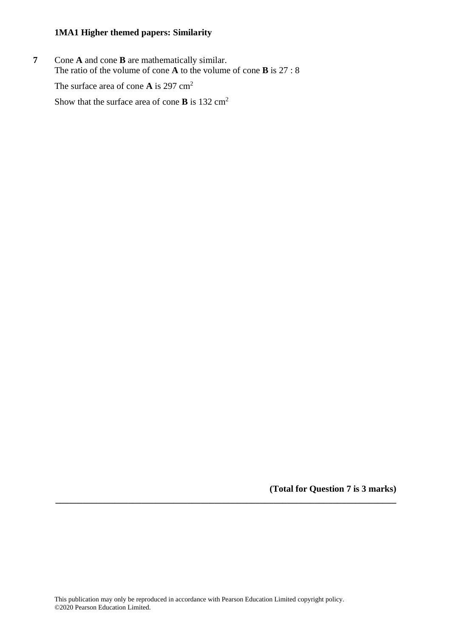**7** Cone **A** and cone **B** are mathematically similar. The ratio of the volume of cone **A** to the volume of cone **B** is 27 : 8

The surface area of cone **A** is 297 cm<sup>2</sup>

Show that the surface area of cone **B** is 132 cm<sup>2</sup>

**(Total for Question 7 is 3 marks)**